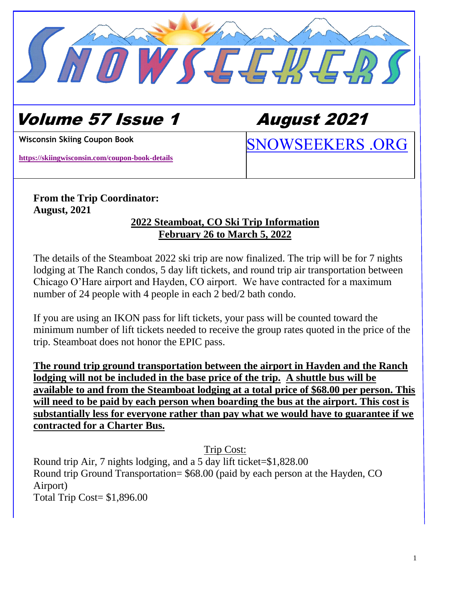

# Volume 57 Issue 1 August 2021

**<https://skiingwisconsin.com/coupon-book-details>**

[SNOWSEEKERS .ORG](http://www.snowseekers.org/) **Wisconsin Skiing Coupon Book**

# **From the Trip Coordinator: August, 2021**

## **2022 Steamboat, CO Ski Trip Information February 26 to March 5, 2022**

The details of the Steamboat 2022 ski trip are now finalized. The trip will be for 7 nights lodging at The Ranch condos, 5 day lift tickets, and round trip air transportation between Chicago O'Hare airport and Hayden, CO airport. We have contracted for a maximum number of 24 people with 4 people in each 2 bed/2 bath condo.

If you are using an IKON pass for lift tickets, your pass will be counted toward the minimum number of lift tickets needed to receive the group rates quoted in the price of the trip. Steamboat does not honor the EPIC pass.

**The round trip ground transportation between the airport in Hayden and the Ranch lodging will not be included in the base price of the trip. A shuttle bus will be available to and from the Steamboat lodging at a total price of \$68.00 per person. This will need to be paid by each person when boarding the bus at the airport. This cost is substantially less for everyone rather than pay what we would have to guarantee if we contracted for a Charter Bus.**

Trip Cost:

Round trip Air, 7 nights lodging, and a 5 day lift ticket=\$1,828.00 Round trip Ground Transportation= \$68.00 (paid by each person at the Hayden, CO Airport) Total Trip Cost= \$1,896.00